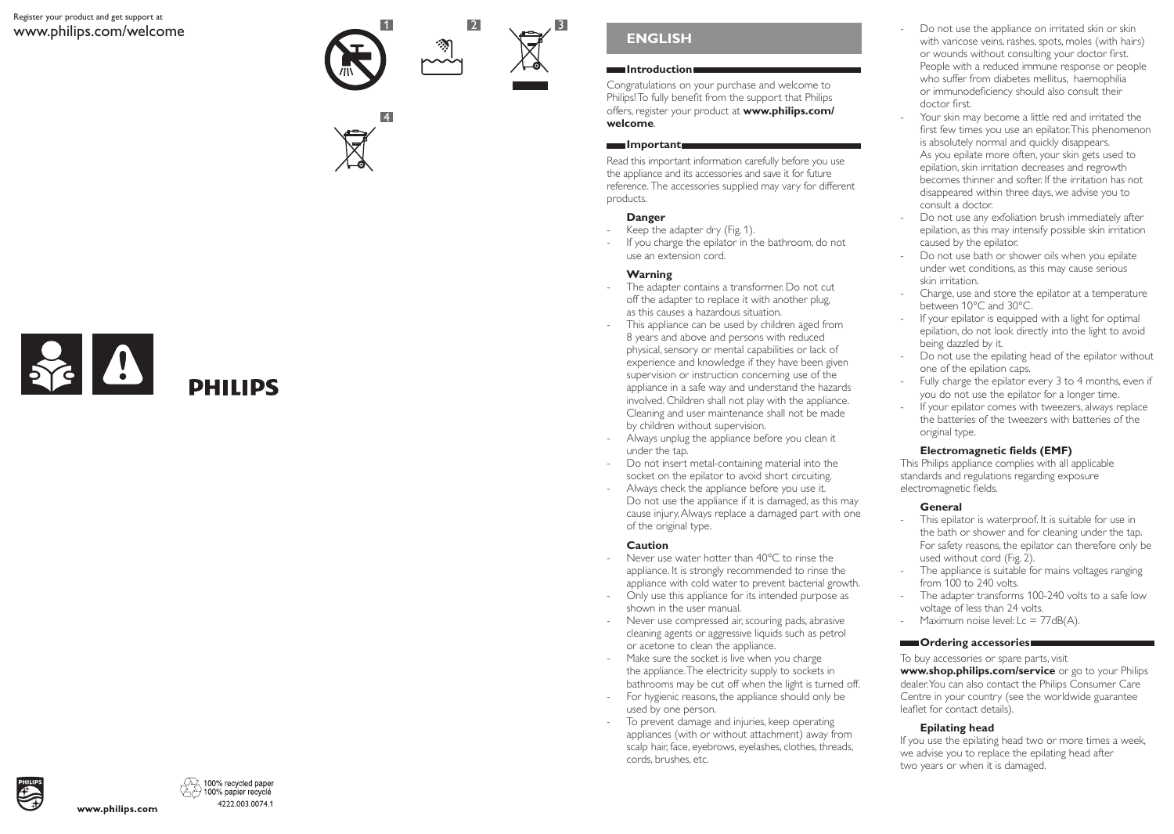### Register your product and get support at www.philips.com/welcome







# **ENGLISH**

## **Introduction**

Congratulations on your purchase and welcome to Philips! To fully benefit from the support that Philips offers, register your product at **www.philips.com/ welcome**.

## **Important**

Read this important information carefully before you use the appliance and its accessories and save it for future reference. The accessories supplied may vary for different products.

# **Danger**

- Keep the adapter dry (Fig. 1).
- If you charge the epilator in the bathroom, do not use an extension cord.

# **Warning**

- The adapter contains a transformer. Do not cut off the adapter to replace it with another plug, as this causes a hazardous situation.
- This appliance can be used by children aged from 8 years and above and persons with reduced physical, sensory or mental capabilities or lack of experience and knowledge if they have been given supervision or instruction concerning use of the appliance in a safe way and understand the hazards involved. Children shall not play with the appliance. Cleaning and user maintenance shall not be made by children without supervision.
- Always unplug the appliance before you clean it under the tap.
- Do not insert metal-containing material into the socket on the epilator to avoid short circuiting.
- Always check the appliance before you use it. Do not use the appliance if it is damaged, as this may cause injury. Always replace a damaged part with one of the original type.

# **Caution**

- Never use water hotter than 40°C to rinse the appliance. It is strongly recommended to rinse the appliance with cold water to prevent bacterial growth.
- Only use this appliance for its intended purpose as shown in the user manual.
- Never use compressed air, scouring pads, abrasive cleaning agents or aggressive liquids such as petrol or acetone to clean the appliance.
- Make sure the socket is live when you charge the appliance. The electricity supply to sockets in bathrooms may be cut off when the light is turned off. - For hygienic reasons, the appliance should only be
- used by one person.
- To prevent damage and injuries, keep operating appliances (with or without attachment) away from scalp hair, face, eyebrows, eyelashes, clothes, threads, cords, brushes, etc.
- Do not use the appliance on irritated skin or skin with varicose veins, rashes, spots, moles (with hairs) or wounds without consulting your doctor first. People with a reduced immune response or people who suffer from diabetes mellitus, haemophilia or immunodeficiency should also consult their doctor first.
- Your skin may become a little red and irritated the first few times you use an epilator. This phenomenon is absolutely normal and quickly disappears. As you epilate more often, your skin gets used to epilation, skin irritation decreases and regrowth becomes thinner and softer. If the irritation has not disappeared within three days, we advise you to consult a doctor.
- Do not use any exfoliation brush immediately after epilation, as this may intensify possible skin irritation caused by the epilator.
- Do not use bath or shower oils when you epilate under wet conditions, as this may cause serious skin irritation.
- Charge, use and store the epilator at a temperature between 10°C and 30°C.
- If your epilator is equipped with a light for optimal epilation, do not look directly into the light to avoid being dazzled by it.
- Do not use the epilating head of the epilator without one of the epilation caps.
- Fully charge the epilator every 3 to 4 months, even if you do not use the epilator for a longer time.
- If your epilator comes with tweezers, always replace the batteries of the tweezers with batteries of the original type.

# **Electromagnetic fields (EMF)**

This Philips appliance complies with all applicable standards and regulations regarding exposure electromagnetic fields.

# **General**

- This epilator is waterproof. It is suitable for use in the bath or shower and for cleaning under the tap. For safety reasons, the epilator can therefore only be used without cord (Fig. 2).
- The appliance is suitable for mains voltages ranging from 100 to 240 volts.
- The adapter transforms 100-240 volts to a safe low voltage of less than 24 volts.
- Maximum noise level:  $Lc = 77dB(A)$ .

# **Condering accessories**

To buy accessories or spare parts, visit **www.shop.philips.com/service** or go to your Philips dealer. You can also contact the Philips Consumer Care Centre in your country (see the worldwide guarantee leaflet for contact details).

# **Epilating head**

If you use the epilating head two or more times a week, we advise you to replace the epilating head after two years or when it is damaged.



100% recycled paper 100% papier recyclé 4222.003.0074.1

www.philips.com

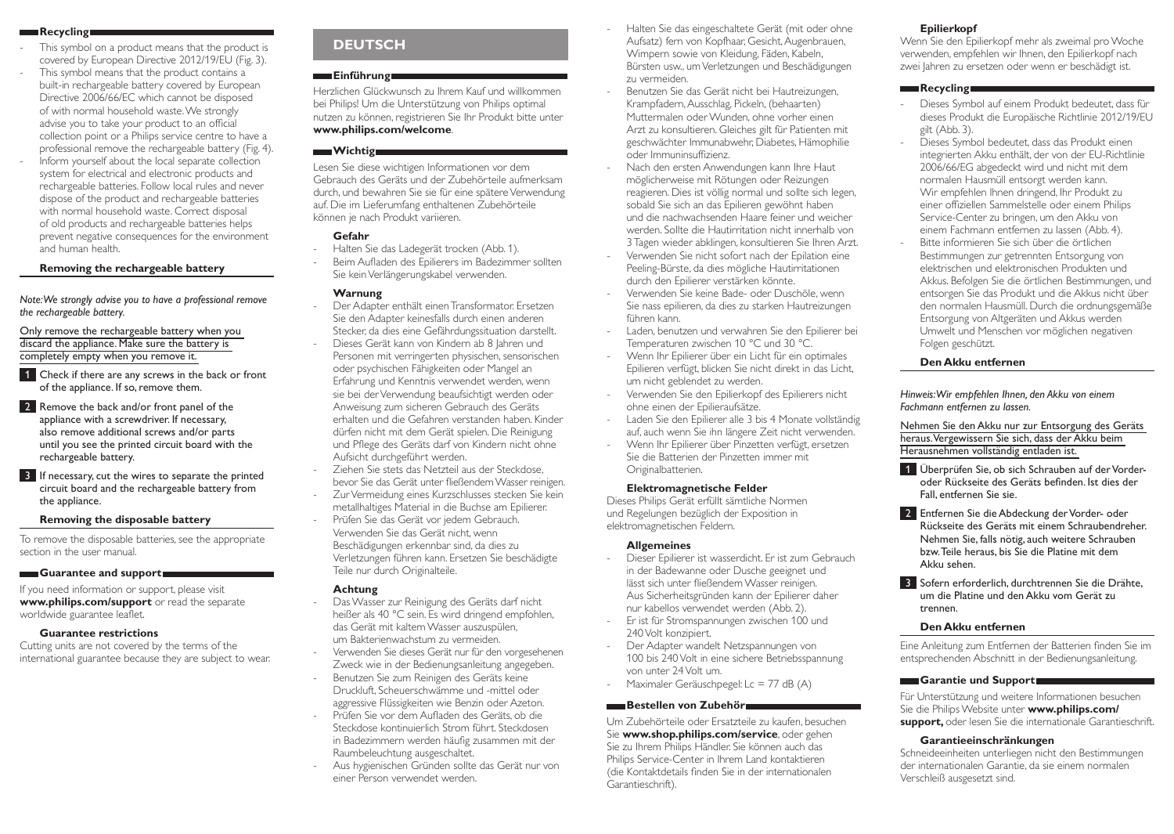### **Recycling**

- This symbol on a product means that the product is covered by European Directive 2012/19/EU (Fig. 3).
- This symbol means that the product contains a built-in rechargeable battery covered by European Directive 2006/66/EC which cannot be disposed of with normal household waste. We strongly advise you to take your product to an official collection point or a Philips service centre to have a professional remove the rechargeable battery (Fig. 4).
- Inform yourself about the local separate collection system for electrical and electronic products and rechargeable batteries. Follow local rules and never dispose of the product and rechargeable batteries with normal household waste. Correct disposal of old products and rechargeable batteries helps prevent negative consequences for the environment and human health.

### **Removing the rechargeable battery**

*Note: We strongly advise you to have a professional remove the rechargeable battery.* 

Only remove the rechargeable battery when you discard the appliance. Make sure the battery is completely empty when you remove it.

1 Check if there are any screws in the back or front of the appliance. If so, remove them.

2 Remove the back and/or front panel of the appliance with a screwdriver. If necessary, also remove additional screws and/or parts until you see the printed circuit board with the rechargeable battery.

3 If necessary, cut the wires to separate the printed circuit board and the rechargeable battery from the appliance.

#### **Removing the disposable battery**

To remove the disposable batteries, see the appropriate section in the user manual.

#### **Guarantee and support**

If you need information or support, please visit **www.philips.com/support** or read the separate worldwide guarantee leaflet.

# **Guarantee restrictions**

Cutting units are not covered by the terms of the international guarantee because they are subject to wear.

# **DEUTSCH**

# **Einführung**

Herzlichen Glückwunsch zu Ihrem Kauf und willkommen bei Philips! Um die Unterstützung von Philips optimal nutzen zu können, registrieren Sie Ihr Produkt bitte unter **www.philips.com/welcome**.

### **Wichtig**

Lesen Sie diese wichtigen Informationen vor dem Gebrauch des Geräts und der Zubehörteile aufmerksam durch, und bewahren Sie sie für eine spätere Verwendung auf. Die im Lieferumfang enthaltenen Zubehörteile können je nach Produkt variieren.

# **Gefahr**

- Halten Sie das Ladegerät trocken (Abb. 1).
- Beim Aufladen des Epilierers im Badezimmer sollten Sie kein Verlängerungskabel verwenden.

# **Warnung**

- Der Adapter enthält einen Transformator. Ersetzen Sie den Adapter keinesfalls durch einen anderen Stecker, da dies eine Gefährdungssituation darstellt. Dieses Gerät kann von Kindern ab 8 Jahren und Personen mit verringerten physischen, sensorischen oder psychischen Fähigkeiten oder Mangel an Erfahrung und Kenntnis verwendet werden, wenn sie bei der Verwendung beaufsichtigt werden oder Anweisung zum sicheren Gebrauch des Geräts erhalten und die Gefahren verstanden haben. Kinder dürfen nicht mit dem Gerät spielen. Die Reinigung und Pflege des Geräts darf von Kindern nicht ohne Aufsicht durchgeführt werden.
- Ziehen Sie stets das Netzteil aus der Steckdose, bevor Sie das Gerät unter fließendem Wasser reinigen. Zur Vermeidung eines Kurzschlusses stecken Sie kein
- metallhaltiges Material in die Buchse am Epilierer. Prüfen Sie das Gerät vor jedem Gebrauch. Verwenden Sie das Gerät nicht, wenn
- Beschädigungen erkennbar sind, da dies zu Verletzungen führen kann. Ersetzen Sie beschädigte Teile nur durch Originalteile.

### **Achtung**

- Das Wasser zur Reinigung des Geräts darf nicht heißer als 40 °C sein. Es wird dringend empfohlen, das Gerät mit kaltem Wasser auszuspülen, um Bakterienwachstum zu vermeiden.
	- Verwenden Sie dieses Gerät nur für den vorgesehenen
- Zweck wie in der Bedienungsanleitung angegeben. Benutzen Sie zum Reinigen des Geräts keine
- Druckluft, Scheuerschwämme und -mittel oder aggressive Flüssigkeiten wie Benzin oder Azeton.
- Prüfen Sie vor dem Aufladen des Geräts, ob die Steckdose kontinuierlich Strom führt. Steckdosen in Badezimmern werden häufig zusammen mit der Raumbeleuchtung ausgeschaltet.
- Aus hygienischen Gründen sollte das Gerät nur von einer Person verwendet werden.
- Halten Sie das eingeschaltete Gerät (mit oder ohne Aufsatz) fern von Kopfhaar, Gesicht, Augenbrauen, Wimpern sowie von Kleidung, Fäden, Kabeln, Bürsten usw., um Verletzungen und Beschädigungen zu vermeiden.
- Benutzen Sie das Gerät nicht bei Hautreizungen, Krampfadern, Ausschlag, Pickeln, (behaarten) Muttermalen oder Wunden, ohne vorher einen Arzt zu konsultieren. Gleiches gilt für Patienten mit geschwächter Immunabwehr, Diabetes, Hämophilie oder Immuninsuffizienz.
- Nach den ersten Anwendungen kann Ihre Haut möglicherweise mit Rötungen oder Reizungen reagieren. Dies ist völlig normal und sollte sich legen, sobald Sie sich an das Epilieren gewöhnt haben und die nachwachsenden Haare feiner und weicher werden. Sollte die Hautirritation nicht innerhalb von 3Tagen wieder abklingen, konsultieren Sie Ihren Arzt.
- Verwenden Sie nicht sofort nach der Epilation eine Peeling-Bürste, da dies mögliche Hautirritationen durch den Epilierer verstärken könnte.
- Verwenden Sie keine Bade- oder Duschöle, wenn Sie nass epilieren, da dies zu starken Hautreizungen führen kann.
- Laden, benutzen und verwahren Sie den Epilierer bei Temperaturen zwischen 10 °C und 30 °C.
- Wenn Ihr Epilierer über ein Licht für ein optimales Epilieren verfügt, blicken Sie nicht direkt in das Licht, um nicht geblendet zu werden.
- Verwenden Sie den Epilierkopf des Epilierers nicht ohne einen der Epilieraufsätze.
- Laden Sie den Epilierer alle 3 bis 4 Monate vollständig auf, auch wenn Sie ihn längere Zeit nicht verwenden.
- Wenn Ihr Epilierer über Pinzetten verfügt, ersetzen Sie die Batterien der Pinzetten immer mit Originalbatterien.

#### **Elektromagnetische Felder**

Dieses Philips Gerät erfüllt sämtliche Normen und Regelungen bezüglich der Exposition in elektromagnetischen Feldern.

#### **Allgemeines**

- Dieser Epilierer ist wasserdicht. Er ist zum Gebrauch in der Badewanne oder Dusche geeignet und lässt sich unter fließendem Wasser reinigen. Aus Sicherheitsgründen kann der Epilierer daher nur kabellos verwendet werden (Abb. 2).
- Er ist für Stromspannungen zwischen 100 und 240Volt konzipiert.
- Der Adapter wandelt Netzspannungen von 100 bis 240 Volt in eine sichere Betriebsspannung von unter 24 Volt um.
- Maximaler Geräuschpegel: Lc = 77 dB (A)

### **Bestellen von Zubehör**

Um Zubehörteile oder Ersatzteile zu kaufen, besuchen Sie **www.shop.philips.com/service**, oder gehen Sie zu Ihrem Philips Händler. Sie können auch das Philips Service-Center in Ihrem Land kontaktieren (die Kontaktdetails finden Sie in der internationalen Garantieschrift).

### **Epilierkopf**

Wenn Sie den Epilierkopf mehr als zweimal pro Woche verwenden, empfehlen wir Ihnen, den Epilierkopf nach zwei Jahren zu ersetzen oder wenn er beschädigt ist.

### **Recycling**

- Dieses Symbol auf einem Produkt bedeutet, dass für dieses Produkt die Europäische Richtlinie 2012/19/EU gilt (Abb. 3).
- Dieses Symbol bedeutet, dass das Produkt einen integrierten Akku enthält, der von der EU-Richtlinie 2006/66/EG abgedeckt wird und nicht mit dem normalen Hausmüll entsorgt werden kann. Wir empfehlen Ihnen dringend, Ihr Produkt zu einer offiziellen Sammelstelle oder einem Philips Service-Center zu bringen, um den Akku von einem Fachmann entfernen zu lassen (Abb. 4). Bitte informieren Sie sich über die örtlichen
- Bestimmungen zur getrennten Entsorgung von elektrischen und elektronischen Produkten und Akkus. Befolgen Sie die örtlichen Bestimmungen, und entsorgen Sie das Produkt und die Akkus nicht über den normalen Hausmüll. Durch die ordnungsgemäße Entsorgung von Altgeräten und Akkus werden Umwelt und Menschen vor möglichen negativen Folgen geschützt.

### **Den Akku entfernen**

*Hinweis: Wir empfehlen Ihnen, den Akku von einem Fachmann entfernen zu lassen.* 

Nehmen Sie den Akku nur zur Entsorgung des Geräts heraus. Vergewissern Sie sich, dass der Akku beim Herausnehmen vollständig entladen ist.

- 1 Überprüfen Sie, ob sich Schrauben auf der Vorderoder Rückseite des Geräts befinden. Ist dies der Fall, entfernen Sie sie.
- **2 Entfernen Sie die Abdeckung der Vorder- oder** Rückseite des Geräts mit einem Schraubendreher. Nehmen Sie, falls nötig, auch weitere Schrauben bzw. Teile heraus, bis Sie die Platine mit dem Akku sehen.
- 3 Sofern erforderlich, durchtrennen Sie die Drähte, um die Platine und den Akku vom Gerät zu trennen.

#### **Den Akku entfernen**

Eine Anleitung zum Entfernen der Batterien finden Sie im entsprechenden Abschnitt in der Bedienungsanleitung.

#### **Garantie und Support**

Für Unterstützung und weitere Informationen besuchen Sie die Philips Website unter **www.philips.com/ support,** oder lesen Sie die internationale Garantieschrift.

#### **Garantieeinschränkungen**

Schneideeinheiten unterliegen nicht den Bestimmungen der internationalen Garantie, da sie einem normalen Verschleiß ausgesetzt sind.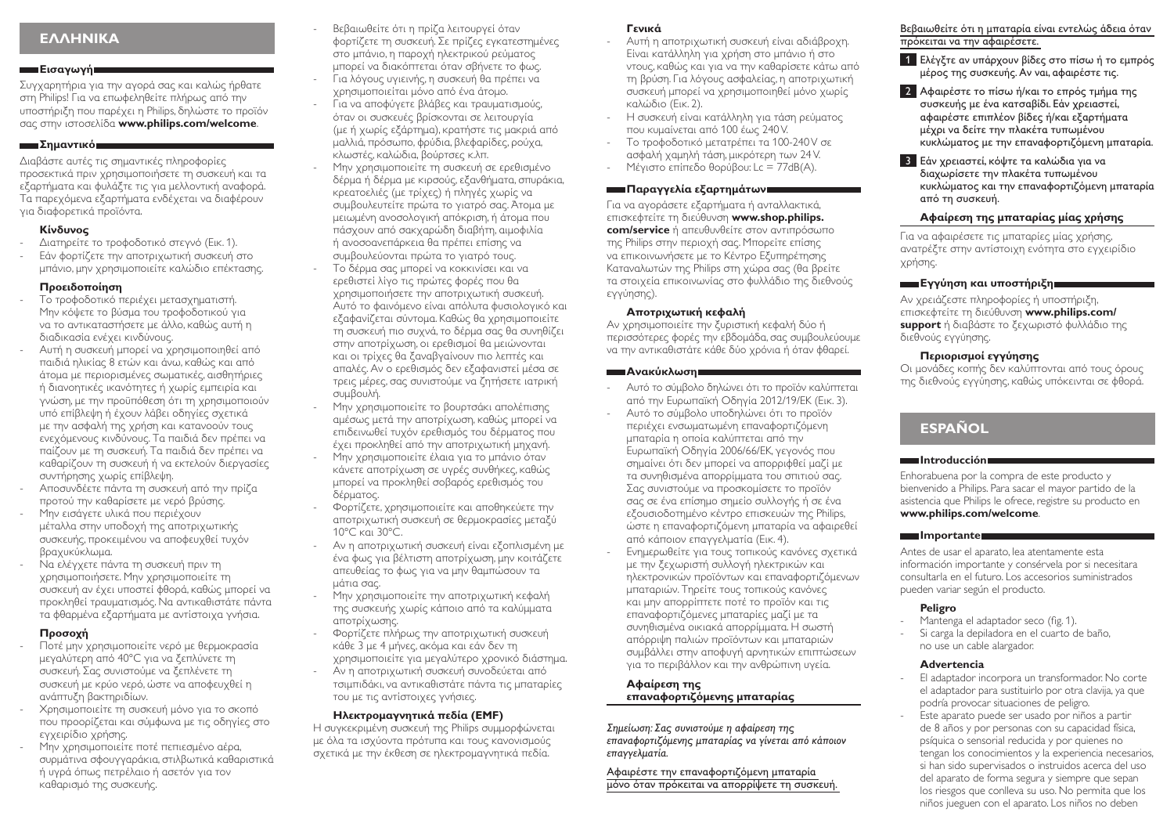# **ΕΛΛΗΝΙΚΑ**

## **Εισαγωγή**

Συγχαρητήρια για την αγορά σας και καλώς ήρθατε στη Philips! Για να επωφεληθείτε πλήρως από την υποστήριξη που παρέχει η Philips, δηλώστε το προϊόν σας στην ιστοσελίδα **www.philips.com/welcome**.

# **Σημαντικό**

Διαβάστε αυτές τις σημαντικές πληροφορίες προσεκτικά πριν χρησιμοποιήσετε τη συσκευή και τα εξαρτήματα και φυλάξτε τις για μελλοντική αναφορά. Τα παρεχόμενα εξαρτήματα ενδέχεται να διαφέρουν για διαφορετικά προϊόντα.

# **Κίνδυνος**

- Διατηρείτε το τροφοδοτικό στεγνό (Εικ. 1).
- Εάν φορτίζετε την αποτριχωτική συσκευή στο μπάνιο, μην χρησιμοποιείτε καλώδιο επέκτασης.

# **Προειδοποίηση**

- Το τροφοδοτικό περιέχει μετασχηματιστή. Μην κόψετε το βύσμα του τροφοδοτικού για να το αντικαταστήσετε με άλλο, καθώς αυτή η διαδικασία ενέχει κινδύνους.
- Αυτή η συσκευή μπορεί να χρησιμοποιηθεί από παιδιά ηλικίας 8 ετών και άνω, καθώς και από άτομα με περιορισμένες σωματικές, αισθητήριες ή διανοητικές ικανότητες ή χωρίς εμπειρία και γνώση, με την προϋπόθεση ότι τη χρησιμοποιούν υπό επίβλεψη ή έχουν λάβει οδηγίες σχετικά με την ασφαλή της χρήση και κατανοούν τους ενεχόμενους κινδύνους. Τα παιδιά δεν πρέπει να παίζουν με τη συσκευή. Τα παιδιά δεν πρέπει να καθαρίζουν τη συσκευή ή να εκτελούν διεργασίες συντήρησης χωρίς επίβλεψη.
- Αποσυνδέετε πάντα τη συσκευή από την πρίζα προτού την καθαρίσετε με νερό βρύσης.
- Μην εισάγετε υλικά που περιέχουν μέταλλα στην υποδοχή της αποτριχωτικής συσκευής, προκειμένου να αποφευχθεί τυχόν βραχυκύκλωμα.
- Να ελέγχετε πάντα τη συσκευή πριν τη χρησιμοποιήσετε. Μην χρησιμοποιείτε τη συσκευή αν έχει υποστεί φθορά, καθώς μπορεί να προκληθεί τραυματισμός. Να αντικαθιστάτε πάντα τα φθαρμένα εξαρτήματα με αντίστοιχα γνήσια.

# **Προσοχή**

- Ποτέ μην χρησιμοποιείτε νερό με θερμοκρασία μεγαλύτερη από 40°C για να ξεπλύνετε τη συσκευή. Σας συνιστούμε να ξεπλένετε τη συσκευή με κρύο νερό, ώστε να αποφευχθεί η ανάπτυξη βακτηριδίων.
- Χρησιμοποιείτε τη συσκευή μόνο για το σκοπό που προορίζεται και σύμφωνα με τις οδηγίες στο εγχειρίδιο χρήσης.
- Μην χρησιμοποιείτε ποτέ πεπιεσμένο αέρα, συρμάτινα σφουγγαράκια, στιλβωτικά καθαριστικά ή υγρά όπως πετρέλαιο ή ασετόν για τον καθαρισμό της συσκευής.
- Βεβαιωθείτε ότι η πρίζα λειτουργεί όταν φορτίζετε τη συσκευή. Σε πρίζες εγκατεστημένες στο μπάνιο, η παροχή ηλεκτρικού ρεύματος μπορεί να διακόπτεται όταν σβήνετε το φως. - Για λόγους υγιεινής, η συσκευή θα πρέπει να
- χρησιμοποιείται μόνο από ένα άτομο. - Για να αποφύγετε βλάβες και τραυματισμούς,
- όταν οι συσκευές βρίσκονται σε λειτουργία (με ή χωρίς εξάρτημα), κρατήστε τις μακριά από μαλλιά, πρόσωπο, φρύδια, βλεφαρίδες, ρούχα, κλωστές, καλώδια, βούρτσες κ.λπ.
- Μην χρησιμοποιείτε τη συσκευή σε ερεθισμένο δέρμα ή δέρμα με κιρσούς, εξανθήματα, σπυράκια, κρεατοελιές (με τρίχες) ή πληγές χωρίς να συμβουλευτείτε πρώτα το γιατρό σας. Άτομα με μειωμένη ανοσολογική απόκριση, ή άτομα που πάσχουν από σακχαρώδη διαβήτη, αιμοφιλία ή ανοσοανεπάρκεια θα πρέπει επίσης να συμβουλεύονται πρώτα το γιατρό τους.
- Το δέρμα σας μπορεί να κοκκινίσει και να ερεθιστεί λίγο τις πρώτες φορές που θα χρησιμοποιήσετε την αποτριχωτική συσκευή. Αυτό το φαινόμενο είναι απόλυτα φυσιολογικό και εξαφανίζεται σύντομα. Καθώς θα χρησιμοποιείτε τη συσκευή πιο συχνά, το δέρμα σας θα συνηθίζει στην αποτρίχωση, οι ερεθισμοί θα μειώνονται και οι τρίχες θα ξαναβγαίνουν πιο λεπτές και απαλές. Αν ο ερεθισμός δεν εξαφανιστεί μέσα σε τρεις μέρες, σας συνιστούμε να ζητήσετε ιατρική συμβουλή.
- Μην χρησιμοποιείτε το βουρτσάκι απολέπισης αμέσως μετά την αποτρίχωση, καθώς μπορεί να επιδεινωθεί τυχόν ερεθισμός του δέρματος που έχει προκληθεί από την αποτριχωτική μηχανή.
- Μην χρησιμοποιείτε έλαια για το μπάνιο όταν κάνετε αποτρίχωση σε υγρές συνθήκες, καθώς μπορεί να προκληθεί σοβαρός ερεθισμός του δέρματος.
- Φορτίζετε, χρησιμοποιείτε και αποθηκεύετε την αποτριχωτική συσκευή σε θερμοκρασίες μεταξύ 10°C και 30°C.
- Αν η αποτριχωτική συσκευή είναι εξοπλισμένη με ένα φως για βέλτιστη αποτρίχωση, μην κοιτάζετε απευθείας το φως για να μην θαμπώσουν τα μάτια σας.
- Μην χρησιμοποιείτε την αποτριχωτική κεφαλή της συσκευής χωρίς κάποιο από τα καλύμματα αποτρίχωσης.
- Φορτίζετε πλήρως την αποτριχωτική συσκευή κάθε 3 με 4 μήνες, ακόμα και εάν δεν τη χρησιμοποιείτε για μεγαλύτερο χρονικό διάστημα.
- Αν η αποτριχωτική συσκευή συνοδεύεται από τσιμπιδάκι, να αντικαθιστάτε πάντα τις μπαταρίες του με τις αντίστοιχες γνήσιες.

# **Ηλεκτρομαγνητικά πεδία (EMF)**

Η συγκεκριμένη συσκευή της Philips συμμορφώνεται με όλα τα ισχύοντα πρότυπα και τους κανονισμούς σχετικά με την έκθεση σε ηλεκτρομαγνητικά πεδία.

# **Γενικά**

- Αυτή η αποτριχωτική συσκευή είναι αδιάβροχη. Είναι κατάλληλη για χρήση στο μπάνιο ή στο ντους, καθώς και για να την καθαρίσετε κάτω από τη βρύση. Για λόγους ασφαλείας, η αποτριχωτική συσκευή μπορεί να χρησιμοποιηθεί μόνο χωρίς καλώδιο (Εικ. 2).
- Η συσκευή είναι κατάλληλη για τάση ρεύματος που κυμαίνεται από 100 έως 240 V.
- Το τροφοδοτικό μετατρέπει τα 100-240 V σε ασφαλή χαμηλή τάση, μικρότερη των 24 V.
- Μέγιστο επίπεδο θορύβου: Lc = 77dB(A).

# **Παραγγελία εξαρτημάτων**

Για να αγοράσετε εξαρτήματα ή ανταλλακτικά, επισκεφτείτε τη διεύθυνση **www.shop.philips. com/service** ή απευθυνθείτε στον αντιπρόσωπο της Philips στην περιοχή σας. Μπορείτε επίσης να επικοινωνήσετε με το Κέντρο Εξυπηρέτησης Καταναλωτών της Philips στη χώρα σας (θα βρείτε τα στοιχεία επικοινωνίας στο φυλλάδιο της διεθνούς εγγύησης).

### **Αποτριχωτική κεφαλή**

Αν χρησιμοποιείτε την ξυριστική κεφαλή δύο ή περισσότερες φορές την εβδομάδα, σας συμβουλεύουμε να την αντικαθιστάτε κάθε δύο χρόνια ή όταν φθαρεί.

### **Ανακύκλωση**

- Αυτό το σύμβολο δηλώνει ότι το προϊόν καλύπτεται από την Ευρωπαϊκή Οδηγία 2012/19/ΕΚ (Εικ. 3).
- Αυτό το σύμβολο υποδηλώνει ότι το προϊόν περιέχει ενσωματωμένη επαναφορτιζόμενη μπαταρία η οποία καλύπτεται από την Ευρωπαϊκή Οδηγία 2006/66/ΕΚ, γεγονός που σημαίνει ότι δεν μπορεί να απορριφθεί μαζί με τα συνηθισμένα απορρίμματα του σπιτιού σας. Σας συνιστούμε να προσκομίσετε το προϊόν σας σε ένα επίσημο σημείο συλλογής ή σε ένα εξουσιοδοτημένο κέντρο επισκευών της Philips, ώστε η επαναφορτιζόμενη μπαταρία να αφαιρεθεί από κάποιον επαγγελματία (Εικ. 4).
- Ενημερωθείτε για τους τοπικούς κανόνες σχετικά με την ξεχωριστή συλλογή ηλεκτρικών και ηλεκτρονικών προϊόντων και επαναφορτιζόμενων μπαταριών. Τηρείτε τους τοπικούς κανόνες και μην απορρίπτετε ποτέ το προϊόν και τις επαναφορτιζόμενες μπαταρίες μαζί με τα συνηθισμένα οικιακά απορρίμματα. Η σωστή απόρριψη παλιών προϊόντων και μπαταριών συμβάλλει στην αποφυγή αρνητικών επιπτώσεων για το περιβάλλον και την ανθρώπινη υγεία.

# **Αφαίρεση της επαναφορτιζόμενης μπαταρίας**

*Σημείωση: Σας συνιστούμε η αφαίρεση της επαναφορτιζόμενης μπαταρίας να γίνεται από κάποιον επαγγελματία.* 

#### Αφαιρέστε την επαναφορτιζόμενη μπαταρία μόνο όταν πρόκειται να απορρίψετε τη συσκευή.

Βεβαιωθείτε ότι η μπαταρία είναι εντελώς άδεια όταν πρόκειται να την αφαιρέσετε.

- 1 Ελέγξτε αν υπάρχουν βίδες στο πίσω ή το εμπρός μέρος της συσκευής. Αν ναι, αφαιρέστε τις.
- 2 Αφαιρέστε το πίσω ή/και το επρός τμήμα της συσκευής με ένα κατσαβίδι. Εάν χρειαστεί, αφαιρέστε επιπλέον βίδες ή/και εξαρτήματα μέχρι να δείτε την πλακέτα τυπωμένου κυκλώματος με την επαναφορτιζόμενη μπαταρία.
- 3 Εάν χρειαστεί, κόψτε τα καλώδια για να διαχωρίσετε την πλακέτα τυπωμένου κυκλώματος και την επαναφορτιζόμενη μπαταρία από τη συσκευή.

# **Αφαίρεση της μπαταρίας μίας χρήσης**

Για να αφαιρέσετε τις μπαταρίες μίας χρήσης, ανατρέξτε στην αντίστοιχη ενότητα στο εγχειρίδιο χρήσης.

# **Εγγύηση και υποστήριξη**

Αν χρειάζεστε πληροφορίες ή υποστήριξη, επισκεφτείτε τη διεύθυνση **www.philips.com/ support** ή διαβάστε το ξεχωριστό φυλλάδιο της διεθνούς εγγύησης.

# **Περιορισμοί εγγύησης**

Οι μονάδες κοπής δεν καλύπτονται από τους όρους της διεθνούς εγγύησης, καθώς υπόκεινται σε φθορά.

# **ESPAÑOL**

### **Introducción**

Enhorabuena por la compra de este producto y bienvenido a Philips. Para sacar el mayor partido de la asistencia que Philips le ofrece, registre su producto en **www.philips.com/welcome**.

### **Importante**

Antes de usar el aparato, lea atentamente esta información importante y consérvela por si necesitara consultarla en el futuro. Los accesorios suministrados pueden variar según el producto.

# **Peligro**

- Mantenga el adaptador seco (fig. 1).
- Si carga la depiladora en el cuarto de baño, no use un cable alargador.

# **Advertencia**

- El adaptador incorpora un transformador. No corte el adaptador para sustituirlo por otra clavija, ya que podría provocar situaciones de peligro.
- Este aparato puede ser usado por niños a partir de 8 años y por personas con su capacidad física, psíquica o sensorial reducida y por quienes no tengan los conocimientos y la experiencia necesarios, si han sido supervisados o instruidos acerca del uso del aparato de forma segura y siempre que sepan los riesgos que conlleva su uso. No permita que los niños jueguen con el aparato. Los niños no deben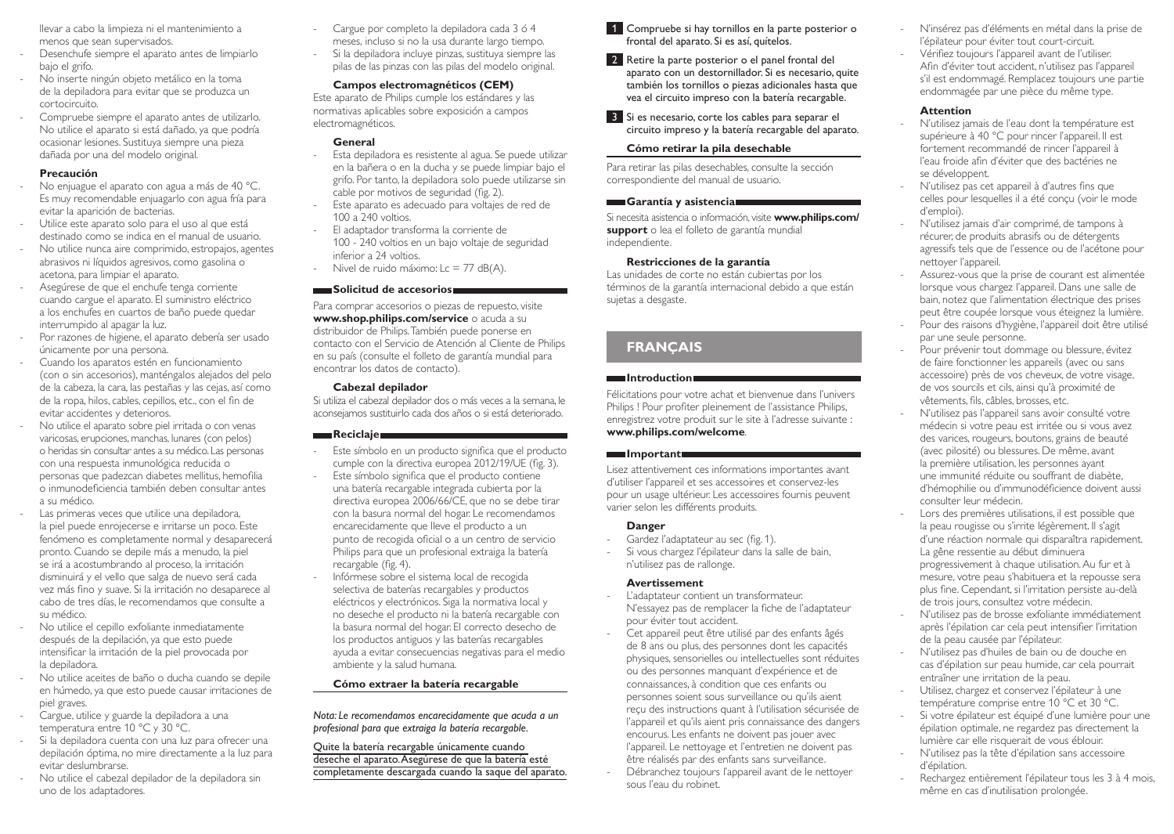llevar a cabo la limpieza ni el mantenimiento a menos que sean supervisados.

- Desenchufe siempre el aparato antes de limpiarlo bajo el grifo.
- No inserte ningún objeto metálico en la toma de la depiladora para evitar que se produzca un cortocircuito.
- Compruebe siempre el aparato antes de utilizarlo. No utilice el aparato si está dañado, ya que podría ocasionar lesiones. Sustituya siempre una pieza dañada por una del modelo original.

### **Precaución**

- No enjuague el aparato con agua a más de 40 °C. Es muy recomendable enjuagarlo con agua fría para evitar la aparición de bacterias.
- Utilice este aparato solo para el uso al que está destinado como se indica en el manual de usuario.
- No utilice nunca aire comprimido, estropajos, agentes abrasivos ni líquidos agresivos, como gasolina o acetona, para limpiar el aparato.
- Asegúrese de que el enchufe tenga corriente cuando cargue el aparato. El suministro eléctrico a los enchufes en cuartos de baño puede quedar interrumpido al apagar la luz.
- Por razones de higiene, el aparato debería ser usado únicamente por una persona.
- Cuando los aparatos estén en funcionamiento (con o sin accesorios), manténgalos alejados del pelo de la cabeza, la cara, las pestañas y las cejas, así como de la ropa, hilos, cables, cepillos, etc., con el fin de evitar accidentes y deterioros.
- No utilice el aparato sobre piel irritada o con venas varicosas, erupciones, manchas, lunares (con pelos) o heridas sin consultar antes a su médico. Las personas con una respuesta inmunológica reducida o personas que padezcan diabetes mellitus, hemofilia o inmunodeficiencia también deben consultar antes a su médico.
- Las primeras veces que utilice una depiladora, la piel puede enrojecerse e irritarse un poco. Este fenómeno es completamente normal y desaparecerá pronto. Cuando se depile más a menudo, la piel se irá a acostumbrando al proceso, la irritación disminuirá y el vello que salga de nuevo será cada vez más fino y suave. Si la irritación no desaparece al cabo de tres días, le recomendamos que consulte a su médico.
- No utilice el cepillo exfoliante inmediatamente después de la depilación, ya que esto puede intensificar la irritación de la piel provocada por la depiladora.
- No utilice aceites de baño o ducha cuando se depile en húmedo, ya que esto puede causar irritaciones de piel graves.
- Cargue, utilice y guarde la depiladora a una temperatura entre 10 °C y 30 °C.
- Si la depiladora cuenta con una luz para ofrecer una depilación óptima, no mire directamente a la luz para evitar deslumbrarse.
- No utilice el cabezal depilador de la depiladora sin uno de los adaptadores.
- Cargue por completo la depiladora cada 3 ó 4 meses, incluso si no la usa durante largo tiempo.
- Si la depiladora incluye pinzas, sustituya siempre las pilas de las pinzas con las pilas del modelo original.

# **Campos electromagnéticos (CEM)**

Este aparato de Philips cumple los estándares y las normativas aplicables sobre exposición a campos electromagnéticos.

# **General**

- Esta depiladora es resistente al agua. Se puede utilizar en la bañera o en la ducha y se puede limpiar bajo el grifo. Por tanto, la depiladora solo puede utilizarse sin cable por motivos de seguridad (fig. 2).
- Este aparato es adecuado para voltajes de red de 100 a 240 voltios. - El adaptador transforma la corriente de
- 100 240 voltios en un bajo voltaje de seguridad inferior a 24 voltios.
- Nivel de ruido máximo: Lc = 77 dB(A).

### **Solicitud de accesorios**

Para comprar accesorios o piezas de repuesto, visite **www.shop.philips.com/service** o acuda a su distribuidor de Philips. También puede ponerse en contacto con el Servicio de Atención al Cliente de Philips en su país (consulte el folleto de garantía mundial para encontrar los datos de contacto).

### **Cabezal depilador**

Si utiliza el cabezal depilador dos o más veces a la semana, le aconsejamos sustituirlo cada dos años o si está deteriorado.

# **Reciclaje**

- Este símbolo en un producto significa que el producto cumple con la directiva europea 2012/19/UE (fig. 3).
- Este símbolo significa que el producto contiene una batería recargable integrada cubierta por la directiva europea 2006/66/CE, que no se debe tirar con la basura normal del hogar. Le recomendamos encarecidamente que lleve el producto a un punto de recogida oficial o a un centro de servicio Philips para que un profesional extraiga la batería recargable (fig. 4).
- Infórmese sobre el sistema local de recogida selectiva de baterías recargables y productos eléctricos y electrónicos. Siga la normativa local y no deseche el producto ni la batería recargable con la basura normal del hogar. El correcto desecho de los productos antiguos y las baterías recargables ayuda a evitar consecuencias negativas para el medio ambiente y la salud humana.

# **Cómo extraer la batería recargable**

*Nota: Le recomendamos encarecidamente que acuda a un profesional para que extraiga la batería recargable.* 

Quite la batería recargable únicamente cuando deseche el aparato. Asegúrese de que la batería esté completamente descargada cuando la saque del aparato.

- 1 Compruebe si hay tornillos en la parte posterior o frontal del aparato. Si es así, quítelos.
- 2 Retire la parte posterior o el panel frontal del aparato con un destornillador. Si es necesario, quite también los tornillos o piezas adicionales hasta que vea el circuito impreso con la batería recargable.
- 3 Si es necesario, corte los cables para separar el circuito impreso y la batería recargable del aparato.

### **Cómo retirar la pila desechable**

Para retirar las pilas desechables, consulte la sección correspondiente del manual de usuario.

### **Garantía y asistencia**

Si necesita asistencia o información, visite **www.philips.com/ support** o lea el folleto de garantía mundial independiente.

# **Restricciones de la garantía**

Las unidades de corte no están cubiertas por los términos de la garantía internacional debido a que están sujetas a desgaste.

# **FRANÇAIS**

# **Introduction**

Félicitations pour votre achat et bienvenue dans l'univers Philips ! Pour profiter pleinement de l'assistance Philips, enregistrez votre produit sur le site à l'adresse suivante : **www.philips.com/welcome**.

### **Important**

Lisez attentivement ces informations importantes avant d'utiliser l'appareil et ses accessoires et conservez-les pour un usage ultérieur. Les accessoires fournis peuvent varier selon les différents produits.

# **Danger**

- Gardez l'adaptateur au sec (fig. 1).
- Si vous chargez l'épilateur dans la salle de bain, n'utilisez pas de rallonge.

### **Avertissement**

- L'adaptateur contient un transformateur. N'essayez pas de remplacer la fiche de l'adaptateur pour éviter tout accident.
- Cet appareil peut être utilisé par des enfants âgés de 8 ans ou plus, des personnes dont les capacités physiques, sensorielles ou intellectuelles sont réduites ou des personnes manquant d'expérience et de connaissances, à condition que ces enfants ou personnes soient sous surveillance ou qu'ils aient reçu des instructions quant à l'utilisation sécurisée de l'appareil et qu'ils aient pris connaissance des dangers encourus. Les enfants ne doivent pas jouer avec l'appareil. Le nettoyage et l'entretien ne doivent pas être réalisés par des enfants sans surveillance.
- Débranchez toujours l'appareil avant de le nettoyer sous l'eau du robinet.
- N'insérez pas d'éléments en métal dans la prise de l'épilateur pour éviter tout court-circuit.
- Vérifiez toujours l'appareil avant de l'utiliser. Afin d'éviter tout accident, n'utilisez pas l'appareil s'il est endommagé. Remplacez toujours une partie endommagée par une pièce du même type.

# **Attention**

- N'utilisez jamais de l'eau dont la température est supérieure à 40 °C pour rincer l'appareil. Il est fortement recommandé de rincer l'appareil à l'eau froide afin d'éviter que des bactéries ne se développent.
- N'utilisez pas cet appareil à d'autres fins que celles pour lesquelles il a été conçu (voir le mode d'emploi).
- N'utilisez jamais d'air comprimé, de tampons à récurer, de produits abrasifs ou de détergents agressifs tels que de l'essence ou de l'acétone pour nettoyer l'appareil.
- Assurez-vous que la prise de courant est alimentée lorsque vous chargez l'appareil. Dans une salle de bain, notez que l'alimentation électrique des prises peut être coupée lorsque vous éteignez la lumière.
- Pour des raisons d'hygiène, l'appareil doit être utilisé par une seule personne.
- Pour prévenir tout dommage ou blessure, évitez de faire fonctionner les appareils (avec ou sans accessoire) près de vos cheveux, de votre visage, de vos sourcils et cils, ainsi qu'à proximité de vêtements, fils, câbles, brosses, etc.
- N'utilisez pas l'appareil sans avoir consulté votre médecin si votre peau est irritée ou si vous avez des varices, rougeurs, boutons, grains de beauté (avec pilosité) ou blessures. De même, avant la première utilisation, les personnes ayant une immunité réduite ou souffrant de diabète, d'hémophilie ou d'immunodéficience doivent aussi consulter leur médecin.
- Lors des premières utilisations, il est possible que la peau rougisse ou s'irrite légèrement. Il s'agit d'une réaction normale qui disparaîtra rapidement. La gêne ressentie au début diminuera progressivement à chaque utilisation. Au fur et à mesure, votre peau s'habituera et la repousse sera plus fine. Cependant, si l'irritation persiste au-delà de trois jours, consultez votre médecin.
- N'utilisez pas de brosse exfoliante immédiatement après l'épilation car cela peut intensifier l'irritation de la peau causée par l'épilateur.
- N'utilisez pas d'huiles de bain ou de douche en cas d'épilation sur peau humide, car cela pourrait entraîner une irritation de la peau.
- Utilisez, chargez et conservez l'épilateur à une température comprise entre 10 °C et 30 °C.
- Si votre épilateur est équipé d'une lumière pour une épilation optimale, ne regardez pas directement la lumière car elle risquerait de vous éblouir.
- N'utilisez pas la tête d'épilation sans accessoire d'épilation.
- Rechargez entièrement l'épilateur tous les 3 à 4 mois, même en cas d'inutilisation prolongée.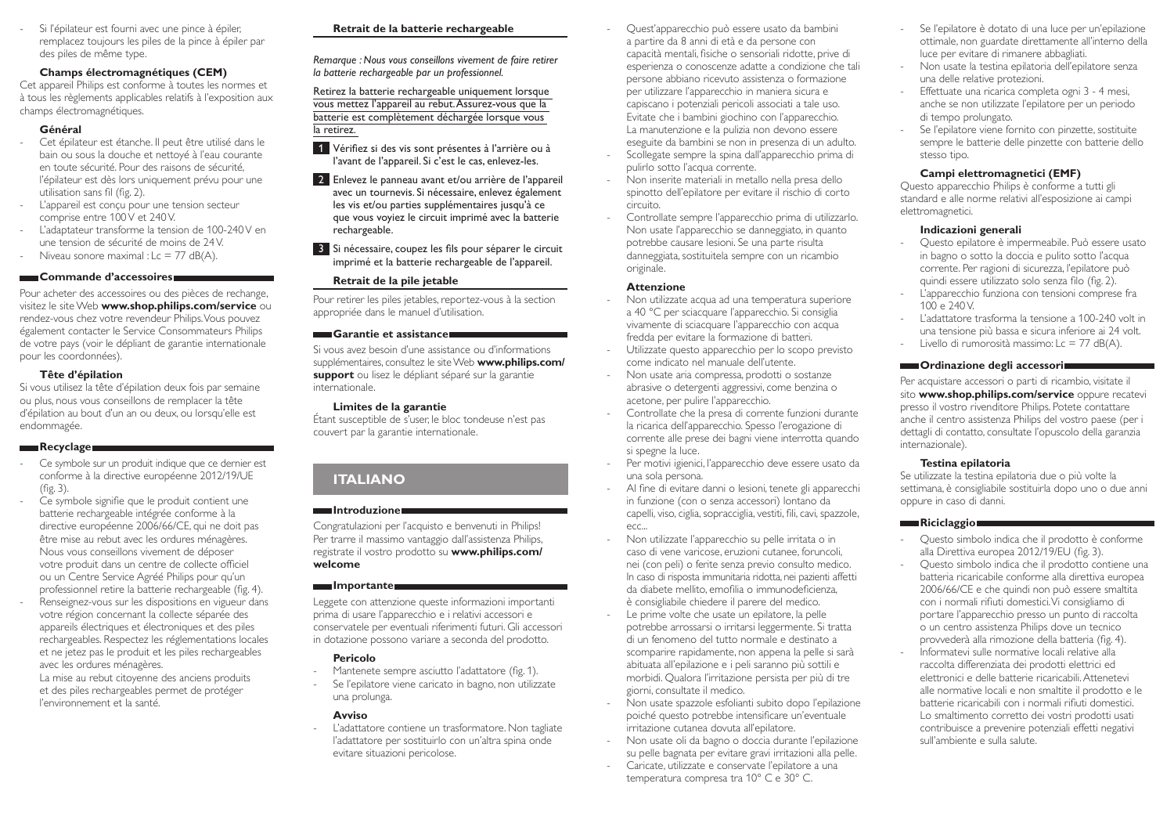- Si l'épilateur est fourni avec une pince à épiler, remplacez toujours les piles de la pince à épiler par des piles de même type.

# **Champs électromagnétiques (CEM)**

Cet appareil Philips est conforme à toutes les normes et à tous les règlements applicables relatifs à l'exposition aux champs électromagnétiques.

# **Général**

- Cet épilateur est étanche. Il peut être utilisé dans le bain ou sous la douche et nettoyé à l'eau courante en toute sécurité. Pour des raisons de sécurité, l'épilateur est dès lors uniquement prévu pour une utilisation sans fil (fig. 2).
- L'appareil est conçu pour une tension secteur comprise entre 100V et 240V.
- L'adaptateur transforme la tension de 100-240V en une tension de sécurité de moins de 24V.
- Niveau sonore maximal :  $c = 77$  dB(A).

### **Commande d'accessoires**

Pour acheter des accessoires ou des pièces de rechange, visitez le site Web **www.shop.philips.com/service** ou rendez-vous chez votre revendeur Philips. Vous pouvez également contacter le Service Consommateurs Philips de votre pays (voir le dépliant de garantie internationale pour les coordonnées).

### **Tête d'épilation**

Si vous utilisez la tête d'épilation deux fois par semaine ou plus, nous vous conseillons de remplacer la tête d'épilation au bout d'un an ou deux, ou lorsqu'elle est endommagée.

### **Recyclage**

- Ce symbole sur un produit indique que ce dernier est conforme à la directive européenne 2012/19/UE (fig. 3).
- Ce symbole signifie que le produit contient une batterie rechargeable intégrée conforme à la directive européenne 2006/66/CE, qui ne doit pas être mise au rebut avec les ordures ménagères. Nous vous conseillons vivement de déposer votre produit dans un centre de collecte officiel ou un Centre Service Agréé Philips pour qu'un professionnel retire la batterie rechargeable (fig. 4).
- Renseignez-vous sur les dispositions en vigueur dans votre région concernant la collecte séparée des appareils électriques et électroniques et des piles rechargeables. Respectez les réglementations locales et ne jetez pas le produit et les piles rechargeables avec les ordures ménagères.

La mise au rebut citoyenne des anciens produits et des piles rechargeables permet de protéger l'environnement et la santé.

# **Retrait de la batterie rechargeable**

*Remarque : Nous vous conseillons vivement de faire retirer la batterie rechargeable par un professionnel.* 

Retirez la batterie rechargeable uniquement lorsque vous mettez l'appareil au rebut. Assurez-vous que la batterie est complètement déchargée lorsque vous la retirez.

- 1 Vérifiez si des vis sont présentes à l'arrière ou à l'avant de l'appareil. Si c'est le cas, enlevez-les.
- 2 Enlevez le panneau avant et/ou arrière de l'appareil avec un tournevis. Si nécessaire, enlevez également les vis et/ou parties supplémentaires jusqu'à ce que vous voyiez le circuit imprimé avec la batterie rechargeable.
- 3 Si nécessaire, coupez les fils pour séparer le circuit imprimé et la batterie rechargeable de l'appareil.

# **Retrait de la pile jetable**

Pour retirer les piles jetables, reportez-vous à la section appropriée dans le manuel d'utilisation.

### **Garantie et assistance**

Si vous avez besoin d'une assistance ou d'informations supplémentaires, consultez le site Web **www.philips.com/ support** ou lisez le dépliant séparé sur la garantie internationale.

### **Limites de la garantie**

Étant susceptible de s'user, le bloc tondeuse n'est pas couvert par la garantie internationale.

# **ITALIANO**

### **Introduzione**

Congratulazioni per l'acquisto e benvenuti in Philips! Per trarre il massimo vantaggio dall'assistenza Philips, registrate il vostro prodotto su **www.philips.com/ welcome**

### **Importante**

Leggete con attenzione queste informazioni importanti prima di usare l'apparecchio e i relativi accessori e conservatele per eventuali riferimenti futuri. Gli accessori in dotazione possono variare a seconda del prodotto.

# **Pericolo**

- Mantenete sempre asciutto l'adattatore (fig. 1).
- Se l'epilatore viene caricato in bagno, non utilizzate una prolunga.

# **Avviso**

L'adattatore contiene un trasformatore. Non tagliate l'adattatore per sostituirlo con un'altra spina onde evitare situazioni pericolose.

- Quest'apparecchio può essere usato da bambini a partire da 8 anni di età e da persone con capacità mentali, fisiche o sensoriali ridotte, prive di esperienza o conoscenze adatte a condizione che tali persone abbiano ricevuto assistenza o formazione per utilizzare l'apparecchio in maniera sicura e capiscano i potenziali pericoli associati a tale uso. Evitate che i bambini giochino con l'apparecchio. La manutenzione e la pulizia non devono essere eseguite da bambini se non in presenza di un adulto. - Scollegate sempre la spina dall'apparecchio prima di
- pulirlo sotto l'acqua corrente. - Non inserite materiali in metallo nella presa dello spinotto dell'epilatore per evitare il rischio di corto circuito.
- Controllate sempre l'apparecchio prima di utilizzarlo. Non usate l'apparecchio se danneggiato, in quanto potrebbe causare lesioni. Se una parte risulta danneggiata, sostituitela sempre con un ricambio originale.

### **Attenzione**

- Non utilizzate acqua ad una temperatura superiore a 40 °C per sciacquare l'apparecchio. Si consiglia vivamente di sciacquare l'apparecchio con acqua fredda per evitare la formazione di batteri.
- Utilizzate questo apparecchio per lo scopo previsto come indicato nel manuale dell'utente.
- Non usate aria compressa, prodotti o sostanze abrasive o detergenti aggressivi, come benzina o acetone, per pulire l'apparecchio.
- Controllate che la presa di corrente funzioni durante la ricarica dell'apparecchio. Spesso l'erogazione di corrente alle prese dei bagni viene interrotta quando si spegne la luce.
- Per motivi igienici, l'apparecchio deve essere usato da una sola persona.
- Al fine di evitare danni o lesioni, tenete gli apparecchi in funzione (con o senza accessori) lontano da capelli, viso, ciglia, sopracciglia, vestiti, fili, cavi, spazzole, ecc...
- Non utilizzate l'apparecchio su pelle irritata o in caso di vene varicose, eruzioni cutanee, foruncoli, nei (con peli) o ferite senza previo consulto medico. In caso di risposta immunitaria ridotta, nei pazienti affetti da diabete mellito, emofilia o immunodeficienza, è consigliabile chiedere il parere del medico.
- Le prime volte che usate un epilatore, la pelle potrebbe arrossarsi o irritarsi leggermente. Si tratta di un fenomeno del tutto normale e destinato a scomparire rapidamente, non appena la pelle si sarà abituata all'epilazione e i peli saranno più sottili e morbidi. Qualora l'irritazione persista per più di tre giorni, consultate il medico.
- Non usate spazzole esfolianti subito dopo l'epilazione poiché questo potrebbe intensificare un'eventuale irritazione cutanea dovuta all'epilatore.
- Non usate oli da bagno o doccia durante l'epilazione su pelle bagnata per evitare gravi irritazioni alla pelle.
- Caricate, utilizzate e conservate l'epilatore a una temperatura compresa tra 10° C e 30° C.
- Se l'epilatore è dotato di una luce per un'epilazione ottimale, non guardate direttamente all'interno della luce per evitare di rimanere abbagliati.
- Non usate la testina epilatoria dell'epilatore senza una delle relative protezioni.
- Effettuate una ricarica completa ogni 3 4 mesi, anche se non utilizzate l'epilatore per un periodo di tempo prolungato.
- Se l'epilatore viene fornito con pinzette, sostituite sempre le batterie delle pinzette con batterie dello stesso tipo.

# **Campi elettromagnetici (EMF)**

Questo apparecchio Philips è conforme a tutti gli standard e alle norme relativi all'esposizione ai campi elettromagnetici.

# **Indicazioni generali**

- Questo epilatore è impermeabile. Può essere usato in bagno o sotto la doccia e pulito sotto l'acqua corrente. Per ragioni di sicurezza, l'epilatore può quindi essere utilizzato solo senza filo (fig. 2).
- L'apparecchio funziona con tensioni comprese fra 100 e 240 V.
- L'adattatore trasforma la tensione a 100-240 volt in una tensione più bassa e sicura inferiore ai 24 volt.
- Livello di rumorosità massimo: Lc = 77 dB(A).

# **Condinazione degli accessori**

Per acquistare accessori o parti di ricambio, visitate il sito **www.shop.philips.com/service** oppure recatevi presso il vostro rivenditore Philips. Potete contattare anche il centro assistenza Philips del vostro paese (per i dettagli di contatto, consultate l'opuscolo della garanzia internazionale).

# **Testina epilatoria**

Se utilizzate la testina epilatoria due o più volte la settimana, è consigliabile sostituirla dopo uno o due anni oppure in caso di danni.

# **Riciclaggio**

- Questo simbolo indica che il prodotto è conforme alla Direttiva europea 2012/19/EU (fig. 3).
- Questo simbolo indica che il prodotto contiene una batteria ricaricabile conforme alla direttiva europea 2006/66/CE e che quindi non può essere smaltita con i normali rifiuti domestici. Vi consigliamo di portare l'apparecchio presso un punto di raccolta o un centro assistenza Philips dove un tecnico provvederà alla rimozione della batteria (fig. 4).
- Informatevi sulle normative locali relative alla raccolta differenziata dei prodotti elettrici ed elettronici e delle batterie ricaricabili. Attenetevi alle normative locali e non smaltite il prodotto e le batterie ricaricabili con i normali rifiuti domestici. Lo smaltimento corretto dei vostri prodotti usati contribuisce a prevenire potenziali effetti negativi sull'ambiente e sulla salute.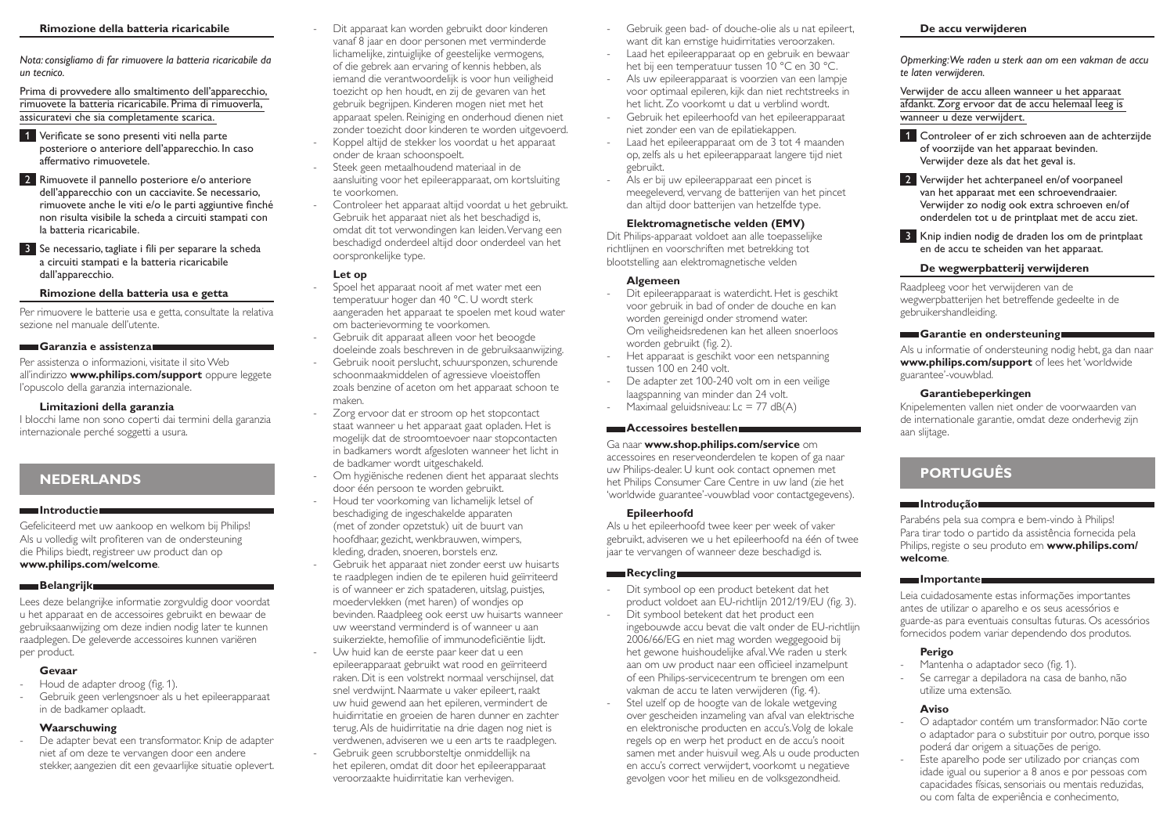#### **Rimozione della batteria ricaricabile**

*Nota: consigliamo di far rimuovere la batteria ricaricabile da un tecnico.* 

Prima di provvedere allo smaltimento dell'apparecchio, rimuovete la batteria ricaricabile. Prima di rimuoverla, assicuratevi che sia completamente scarica.

- 1 Verificate se sono presenti viti nella parte posteriore o anteriore dell'apparecchio. In caso affermativo rimuovetele.
- 2 Rimuovete il pannello posteriore e/o anteriore dell'apparecchio con un cacciavite. Se necessario, rimuovete anche le viti e/o le parti aggiuntive finché non risulta visibile la scheda a circuiti stampati con la batteria ricaricabile.
- 3 Se necessario, tagliate i fili per separare la scheda a circuiti stampati e la batteria ricaricabile dall'apparecchio.

#### **Rimozione della batteria usa e getta**

Per rimuovere le batterie usa e getta, consultate la relativa sezione nel manuale dell'utente.

#### **Garanzia e assistenza**

Per assistenza o informazioni, visitate il sito Web all'indirizzo **www.philips.com/support** oppure leggete l'opuscolo della garanzia internazionale.

#### **Limitazioni della garanzia**

I blocchi lame non sono coperti dai termini della garanzia internazionale perché soggetti a usura.

# **NEDERLANDS**

#### **Introductie**

Gefeliciteerd met uw aankoop en welkom bij Philips! Als u volledig wilt profiteren van de ondersteuning die Philips biedt, registreer uw product dan op **www.philips.com/welcome**.

#### **Belangrijk**

Lees deze belangrijke informatie zorgvuldig door voordat u het apparaat en de accessoires gebruikt en bewaar de gebruiksaanwijzing om deze indien nodig later te kunnen raadplegen. De geleverde accessoires kunnen variëren per product.

### **Gevaar**

- Houd de adapter droog (fig. 1).
- Gebruik geen verlengsnoer als u het epileerapparaat in de badkamer oplaadt.

#### **Waarschuwing**

De adapter bevat een transformator. Knip de adapter niet af om deze te vervangen door een andere stekker, aangezien dit een gevaarlijke situatie oplevert.

- Dit apparaat kan worden gebruikt door kinderen vanaf 8 jaar en door personen met verminderde lichamelijke, zintuiglijke of geestelijke vermogens, of die gebrek aan ervaring of kennis hebben, als iemand die verantwoordelijk is voor hun veiligheid toezicht op hen houdt, en zij de gevaren van het gebruik begrijpen. Kinderen mogen niet met het apparaat spelen. Reiniging en onderhoud dienen niet zonder toezicht door kinderen te worden uitgevoerd. Koppel altijd de stekker los voordat u het apparaat onder de kraan schoonspoelt.
- Steek geen metaalhoudend materiaal in de aansluiting voor het epileerapparaat, om kortsluiting te voorkomen.
- Controleer het apparaat altijd voordat u het gebruikt. Gebruik het apparaat niet als het beschadigd is, omdat dit tot verwondingen kan leiden. Vervang een beschadigd onderdeel altijd door onderdeel van het oorspronkelijke type.

#### **Let op**

- Spoel het apparaat nooit af met water met een temperatuur hoger dan 40 °C. U wordt sterk aangeraden het apparaat te spoelen met koud water om bacterievorming te voorkomen.

- Gebruik dit apparaat alleen voor het beoogde doeleinde zoals beschreven in de gebruiksaanwijzing.
- Gebruik nooit perslucht, schuursponzen, schurende schoonmaakmiddelen of agressieve vloeistoffen zoals benzine of aceton om het apparaat schoon te maken.
- Zorg ervoor dat er stroom op het stopcontact staat wanneer u het apparaat gaat opladen. Het is mogelijk dat de stroomtoevoer naar stopcontacten in badkamers wordt afgesloten wanneer het licht in de badkamer wordt uitgeschakeld.
- Om hygiënische redenen dient het apparaat slechts door één persoon te worden gebruikt.
- Houd ter voorkoming van lichamelijk letsel of beschadiging de ingeschakelde apparaten (met of zonder opzetstuk) uit de buurt van hoofdhaar, gezicht, wenkbrauwen, wimpers, kleding, draden, snoeren, borstels enz.
- Gebruik het apparaat niet zonder eerst uw huisarts te raadplegen indien de te epileren huid geïrriteerd is of wanneer er zich spataderen, uitslag, puistjes, moedervlekken (met haren) of wondjes op bevinden. Raadpleeg ook eerst uw huisarts wanneer uw weerstand verminderd is of wanneer u aan suikerziekte, hemofilie of immunodeficiëntie lijdt.
- Uw huid kan de eerste paar keer dat u een epileerapparaat gebruikt wat rood en geïrriteerd raken. Dit is een volstrekt normaal verschijnsel, dat snel verdwijnt. Naarmate u vaker epileert, raakt uw huid gewend aan het epileren, vermindert de huidirritatie en groeien de haren dunner en zachter terug. Als de huidirritatie na drie dagen nog niet is verdwenen, adviseren we u een arts te raadplegen.
- Gebruik geen scrubborsteltje onmiddellijk na het epileren, omdat dit door het epileerapparaat veroorzaakte huidirritatie kan verhevigen.
- Gebruik geen bad- of douche-olie als u nat epileert, want dit kan ernstige huidirritaties veroorzaken.
- Laad het epileerapparaat op en gebruik en bewaar het bij een temperatuur tussen 10 °C en 30 °C.
- Als uw epileerapparaat is voorzien van een lampje voor optimaal epileren, kijk dan niet rechtstreeks in het licht. Zo voorkomt u dat u verblind wordt.
- Gebruik het epileerhoofd van het epileerapparaat niet zonder een van de epilatiekappen.
- Laad het epileerapparaat om de 3 tot 4 maanden op, zelfs als u het epileerapparaat langere tijd niet gebruikt.
- Als er bij uw epileerapparaat een pincet is meegeleverd, vervang de batterijen van het pincet dan altijd door batterijen van hetzelfde type.

#### **Elektromagnetische velden (EMV)**

Dit Philips-apparaat voldoet aan alle toepasselijke richtlijnen en voorschriften met betrekking tot blootstelling aan elektromagnetische velden

#### **Algemeen**

- Dit epileerapparaat is waterdicht. Het is geschikt voor gebruik in bad of onder de douche en kan worden gereinigd onder stromend water. Om veiligheidsredenen kan het alleen snoerloos worden gebruikt (fig. 2).
- Het apparaat is geschikt voor een netspanning tussen 100 en 240 volt.
- De adapter zet 100-240 volt om in een veilige laagspanning van minder dan 24 volt.
- Maximaal geluidsniveau: Lc = 77 dB(A)

# **Accessoires bestellen**

### Ga naar **www.shop.philips.com/service** om

accessoires en reserveonderdelen te kopen of ga naar uw Philips-dealer. U kunt ook contact opnemen met het Philips Consumer Care Centre in uw land (zie het 'worldwide guarantee'-vouwblad voor contactgegevens).

#### **Epileerhoofd**

Als u het epileerhoofd twee keer per week of vaker gebruikt, adviseren we u het epileerhoofd na één of twee jaar te vervangen of wanneer deze beschadigd is.

### **Recycling**

- Dit symbool op een product betekent dat het product voldoet aan EU-richtlijn 2012/19/EU (fig. 3).
- Dit symbool betekent dat het product een ingebouwde accu bevat die valt onder de EU-richtlijn 2006/66/EG en niet mag worden weggegooid bij het gewone huishoudelijke afval. We raden u sterk aan om uw product naar een officieel inzamelpunt of een Philips-servicecentrum te brengen om een vakman de accu te laten verwijderen (fig. 4).
- Stel uzelf op de hoogte van de lokale wetgeving over gescheiden inzameling van afval van elektrische en elektronische producten en accu's. Volg de lokale regels op en werp het product en de accu's nooit samen met ander huisvuil weg. Als u oude producten en accu's correct verwijdert, voorkomt u negatieve gevolgen voor het milieu en de volksgezondheid.

#### **De accu verwijderen**

*Opmerking: We raden u sterk aan om een vakman de accu te laten verwijderen.* 

Verwijder de accu alleen wanneer u het apparaat afdankt. Zorg ervoor dat de accu helemaal leeg is wanneer u deze verwijdert.

1 Controleer of er zich schroeven aan de achterzijde of voorzijde van het apparaat bevinden. Verwijder deze als dat het geval is.

2 Verwijder het achterpaneel en/of voorpaneel van het apparaat met een schroevendraaier. Verwijder zo nodig ook extra schroeven en/of onderdelen tot u de printplaat met de accu ziet.

3 Knip indien nodig de draden los om de printplaat en de accu te scheiden van het apparaat.

# **De wegwerpbatterij verwijderen**

Raadpleeg voor het verwijderen van de wegwerpbatterijen het betreffende gedeelte in de gebruikershandleiding.

### **Garantie en ondersteuning**

Als u informatie of ondersteuning nodig hebt, ga dan naar **www.philips.com/support** of lees het 'worldwide guarantee'-vouwblad.

#### **Garantiebeperkingen**

Knipelementen vallen niet onder de voorwaarden van de internationale garantie, omdat deze onderhevig zijn aan slijtage.

# **PORTUGUÊS**

### **Introdução**

Parabéns pela sua compra e bem-vindo à Philips! Para tirar todo o partido da assistência fornecida pela Philips, registe o seu produto em **www.philips.com/ welcome**.

### **Importante**

Leia cuidadosamente estas informações importantes antes de utilizar o aparelho e os seus acessórios e guarde-as para eventuais consultas futuras. Os acessórios fornecidos podem variar dependendo dos produtos.

### **Perigo**

- Mantenha o adaptador seco (fig. 1).
- Se carregar a depiladora na casa de banho, não utilize uma extensão.

### **Aviso**

- O adaptador contém um transformador. Não corte o adaptador para o substituir por outro, porque isso poderá dar origem a situações de perigo.
- Este aparelho pode ser utilizado por crianças com idade igual ou superior a 8 anos e por pessoas com capacidades físicas, sensoriais ou mentais reduzidas, ou com falta de experiência e conhecimento,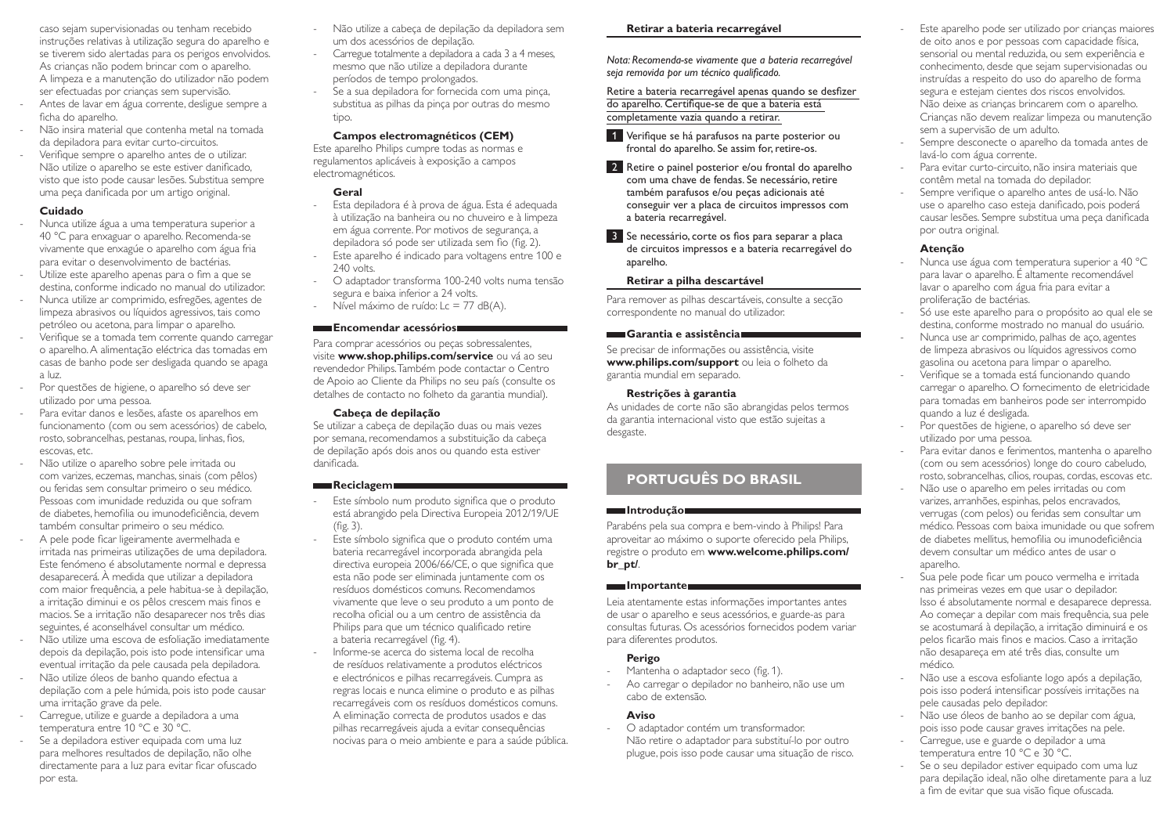caso sejam supervisionadas ou tenham recebido instruções relativas à utilização segura do aparelho e se tiverem sido alertadas para os perigos envolvidos. As crianças não podem brincar com o aparelho. A limpeza e a manutenção do utilizador não podem ser efectuadas por crianças sem supervisão. - Antes de lavar em água corrente, desligue sempre a ficha do aparelho.

- Não insira material que contenha metal na tomada da depiladora para evitar curto-circuitos.
- Verifique sempre o aparelho antes de o utilizar. Não utilize o aparelho se este estiver danificado, visto que isto pode causar lesões. Substitua sempre uma peça danificada por um artigo original.

### **Cuidado**

- Nunca utilize água a uma temperatura superior a 40 °C para enxaguar o aparelho. Recomenda-se vivamente que enxagúe o aparelho com água fria para evitar o desenvolvimento de bactérias.
- Utilize este aparelho apenas para o fim a que se destina, conforme indicado no manual do utilizador.
- Nunca utilize ar comprimido, esfregões, agentes de limpeza abrasivos ou líquidos agressivos, tais como petróleo ou acetona, para limpar o aparelho.
- Verifique se a tomada tem corrente quando carregar o aparelho. A alimentação eléctrica das tomadas em casas de banho pode ser desligada quando se apaga a luz.
- Por questões de higiene, o aparelho só deve ser utilizado por uma pessoa.
- Para evitar danos e lesões, afaste os aparelhos em funcionamento (com ou sem acessórios) de cabelo, rosto, sobrancelhas, pestanas, roupa, linhas, fios, escovas, etc.
- Não utilize o aparelho sobre pele irritada ou com varizes, eczemas, manchas, sinais (com pêlos) ou feridas sem consultar primeiro o seu médico. Pessoas com imunidade reduzida ou que sofram de diabetes, hemofilia ou imunodeficiência, devem também consultar primeiro o seu médico.
- A pele pode ficar ligeiramente avermelhada e irritada nas primeiras utilizações de uma depiladora. Este fenómeno é absolutamente normal e depressa desaparecerá. À medida que utilizar a depiladora com maior frequência, a pele habitua-se à depilação, a irritação diminui e os pêlos crescem mais finos e macios. Se a irritação não desaparecer nos três dias seguintes, é aconselhável consultar um médico.
- Não utilize uma escova de esfoliação imediatamente depois da depilação, pois isto pode intensificar uma eventual irritação da pele causada pela depiladora.
- Não utilize óleos de banho quando efectua a depilação com a pele húmida, pois isto pode causar uma irritação grave da pele.
- Carregue, utilize e guarde a depiladora a uma temperatura entre 10 °C e 30 °C.
- Se a depiladora estiver equipada com uma luz para melhores resultados de depilação, não olhe directamente para a luz para evitar ficar ofuscado por esta.
- Não utilize a cabeça de depilação da depiladora sem um dos acessórios de depilação.
- Carregue totalmente a depiladora a cada 3 a 4 meses, mesmo que não utilize a depiladora durante períodos de tempo prolongados.
- Se a sua depiladora for fornecida com uma pinça, substitua as pilhas da pinça por outras do mesmo tipo.

### **Campos electromagnéticos (CEM)**

Este aparelho Philips cumpre todas as normas e regulamentos aplicáveis à exposição a campos electromagnéticos.

# **Geral**

- Esta depiladora é à prova de água. Esta é adequada à utilização na banheira ou no chuveiro e à limpeza em água corrente. Por motivos de segurança, a depiladora só pode ser utilizada sem fio (fig. 2).
- Este aparelho é indicado para voltagens entre 100 e 240 volts.
- O adaptador transforma 100-240 volts numa tensão segura e baixa inferior a 24 volts.
- Nível máximo de ruído: Lc = 77 dB(A).

# **Encomendar acessórios**

Para comprar acessórios ou peças sobressalentes, visite **www.shop.philips.com/service** ou vá ao seu revendedor Philips. Também pode contactar o Centro de Apoio ao Cliente da Philips no seu país (consulte os detalhes de contacto no folheto da garantia mundial).

### **Cabeça de depilação**

Se utilizar a cabeça de depilação duas ou mais vezes por semana, recomendamos a substituição da cabeça de depilação após dois anos ou quando esta estiver danificada.

### **Reciclagem**

- Este símbolo num produto significa que o produto está abrangido pela Directiva Europeia 2012/19/UE (fig. 3).
- Este símbolo significa que o produto contém uma bateria recarregável incorporada abrangida pela directiva europeia 2006/66/CE, o que significa que esta não pode ser eliminada juntamente com os resíduos domésticos comuns. Recomendamos vivamente que leve o seu produto a um ponto de recolha oficial ou a um centro de assistência da Philips para que um técnico qualificado retire a bateria recarregável (fig. 4).
- Informe-se acerca do sistema local de recolha de resíduos relativamente a produtos eléctricos e electrónicos e pilhas recarregáveis. Cumpra as regras locais e nunca elimine o produto e as pilhas recarregáveis com os resíduos domésticos comuns. A eliminação correcta de produtos usados e das pilhas recarregáveis ajuda a evitar consequências nocivas para o meio ambiente e para a saúde pública.

### **Retirar a bateria recarregável**

*Nota: Recomenda-se vivamente que a bateria recarregável seja removida por um técnico qualificado.* 

Retire a bateria recarregável apenas quando se desfizer do aparelho. Certifique-se de que a bateria está completamente vazia quando a retirar.

- 1 Verifique se há parafusos na parte posterior ou frontal do aparelho. Se assim for, retire-os.
- 2 Retire o painel posterior e/ou frontal do aparelho com uma chave de fendas. Se necessário, retire também parafusos e/ou peças adicionais até conseguir ver a placa de circuitos impressos com a bateria recarregável.

3 Se necessário, corte os fios para separar a placa de circuitos impressos e a bateria recarregável do aparelho.

### **Retirar a pilha descartável**

Para remover as pilhas descartáveis, consulte a secção correspondente no manual do utilizador.

# **Garantia e assistência**

Se precisar de informações ou assistência, visite **www.philips.com/support** ou leia o folheto da garantia mundial em separado.

### **Restrições à garantia**

As unidades de corte não são abrangidas pelos termos da garantia internacional visto que estão sujeitas a desgaste.

# **PORTUGUÊS DO BRASIL**

### **Introdução**

Parabéns pela sua compra e bem-vindo à Philips! Para aproveitar ao máximo o suporte oferecido pela Philips, registre o produto em **www.welcome.philips.com/ br\_pt/**.

### **Importante**

Leia atentamente estas informações importantes antes de usar o aparelho e seus acessórios, e guarde-as para consultas futuras. Os acessórios fornecidos podem variar para diferentes produtos.

# **Perigo**

- Mantenha o adaptador seco (fig. 1).
- Ao carregar o depilador no banheiro, não use um cabo de extensão.

# **Aviso**

- O adaptador contém um transformador. Não retire o adaptador para substituí-lo por outro plugue, pois isso pode causar uma situação de risco.

- Este aparelho pode ser utilizado por crianças maiores de oito anos e por pessoas com capacidade física, sensorial ou mental reduzida, ou sem experiência e conhecimento, desde que sejam supervisionadas ou instruídas a respeito do uso do aparelho de forma segura e estejam cientes dos riscos envolvidos. Não deixe as crianças brincarem com o aparelho. Crianças não devem realizar limpeza ou manutenção sem a supervisão de um adulto.
- Sempre desconecte o aparelho da tomada antes de lavá-lo com água corrente.
- Para evitar curto-circuito, não insira materiais que contêm metal na tomada do depilador.
- Sempre verifique o aparelho antes de usá-lo. Não use o aparelho caso esteja danificado, pois poderá causar lesões. Sempre substitua uma peça danificada por outra original.

# **Atenção**

- Nunca use água com temperatura superior a 40 °C para lavar o aparelho. É altamente recomendável lavar o aparelho com água fria para evitar a proliferação de bactérias.
- Só use este aparelho para o propósito ao qual ele se destina, conforme mostrado no manual do usuário.
- Nunca use ar comprimido, palhas de aço, agentes de limpeza abrasivos ou líquidos agressivos como gasolina ou acetona para limpar o aparelho.
- Verifique se a tomada está funcionando quando carregar o aparelho. O fornecimento de eletricidade para tomadas em banheiros pode ser interrompido quando a luz é desligada.
- Por questões de higiene, o aparelho só deve ser utilizado por uma pessoa.
- Para evitar danos e ferimentos, mantenha o aparelho (com ou sem acessórios) longe do couro cabeludo, rosto, sobrancelhas, cílios, roupas, cordas, escovas etc.
- Não use o aparelho em peles irritadas ou com varizes, arranhões, espinhas, pelos encravados, verrugas (com pelos) ou feridas sem consultar um médico. Pessoas com baixa imunidade ou que sofrem de diabetes mellitus, hemofilia ou imunodeficiência devem consultar um médico antes de usar o aparelho.
- Sua pele pode ficar um pouco vermelha e irritada nas primeiras vezes em que usar o depilador. Isso é absolutamente normal e desaparece depressa. Ao começar a depilar com mais frequência, sua pele se acostumará à depilação, a irritação diminuirá e os pelos ficarão mais finos e macios. Caso a irritação não desapareça em até três dias, consulte um médico.
- Não use a escova esfoliante logo após a depilação, pois isso poderá intensificar possíveis irritações na pele causadas pelo depilador.
- Não use óleos de banho ao se depilar com água, pois isso pode causar graves irritações na pele.
- Carregue, use e guarde o depilador a uma temperatura entre 10 °C e 30 °C.
- Se o seu depilador estiver equipado com uma luz para depilação ideal, não olhe diretamente para a luz a fim de evitar que sua visão fique ofuscada.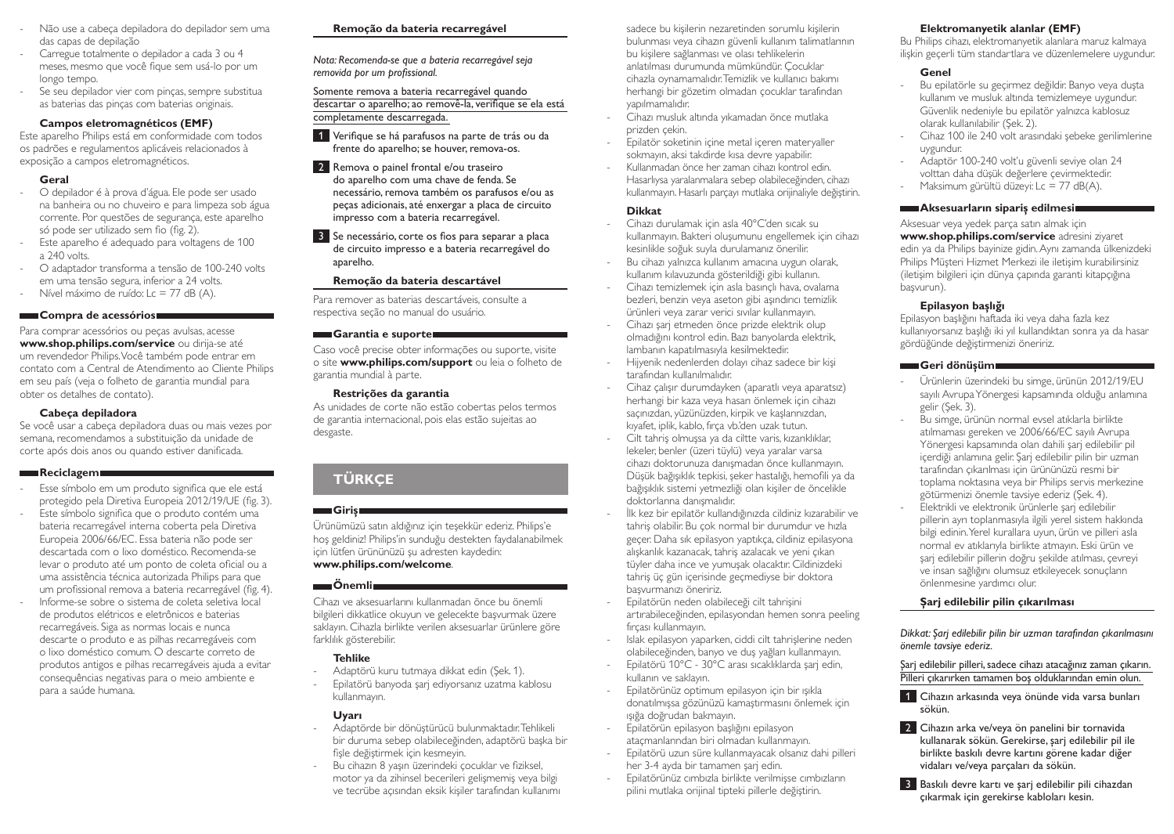- Não use a cabeça depiladora do depilador sem uma das capas de depilação
- Carregue totalmente o depilador a cada 3 ou 4 meses, mesmo que você fique sem usá-lo por um longo tempo.
- Se seu depilador vier com pinças, sempre substitua as baterias das pinças com baterias originais.

### **Campos eletromagnéticos (EMF)**

Este aparelho Philips está em conformidade com todos os padrões e regulamentos aplicáveis relacionados à exposição a campos eletromagnéticos.

### **Geral**

- O depilador é à prova d'água. Ele pode ser usado na banheira ou no chuveiro e para limpeza sob água corrente. Por questões de segurança, este aparelho só pode ser utilizado sem fio (fig. 2).
- Este aparelho é adequado para voltagens de 100 a 240 volts.
- O adaptador transforma a tensão de 100-240 volts em uma tensão segura, inferior a 24 volts.
- Nível máximo de ruído: Lc = 77 dB (A).

### **Compra de acessórios**

Para comprar acessórios ou peças avulsas, acesse **www.shop.philips.com/service** ou dirija-se até um revendedor Philips. Você também pode entrar em contato com a Central de Atendimento ao Cliente Philips em seu país (veja o folheto de garantia mundial para obter os detalhes de contato).

## **Cabeça depiladora**

Se você usar a cabeça depiladora duas ou mais vezes por semana, recomendamos a substituição da unidade de corte após dois anos ou quando estiver danificada.

### **Reciclagem**

- Esse símbolo em um produto significa que ele está protegido pela Diretiva Europeia 2012/19/UE (fig. 3). Este símbolo significa que o produto contém uma
- bateria recarregável interna coberta pela Diretiva Europeia 2006/66/EC. Essa bateria não pode ser descartada com o lixo doméstico. Recomenda-se levar o produto até um ponto de coleta oficial ou a uma assistência técnica autorizada Philips para que um profissional remova a bateria recarregável (fig. 4).
- Informe-se sobre o sistema de coleta seletiva local de produtos elétricos e eletrônicos e baterias recarregáveis. Siga as normas locais e nunca descarte o produto e as pilhas recarregáveis com o lixo doméstico comum. O descarte correto de produtos antigos e pilhas recarregáveis ajuda a evitar consequências negativas para o meio ambiente e para a saúde humana.

# **Remoção da bateria recarregável**

*Nota: Recomenda-se que a bateria recarregável seja removida por um profissional.* 

Somente remova a bateria recarregável quando descartar o aparelho; ao removê-la, verifique se ela está completamente descarregada.

- 1 Verifique se há parafusos na parte de trás ou da frente do aparelho; se houver, remova-os.
- 2 Remova o painel frontal e/ou traseiro do aparelho com uma chave de fenda. Se necessário, remova também os parafusos e/ou as peças adicionais, até enxergar a placa de circuito impresso com a bateria recarregável.
- 3 Se necessário, corte os fios para separar a placa de circuito impresso e a bateria recarregável do aparelho.

# **Remoção da bateria descartável**

Para remover as baterias descartáveis, consulte a respectiva seção no manual do usuário.

### **Garantia e suporte**

Caso você precise obter informações ou suporte, visite o site **www.philips.com/support** ou leia o folheto de garantia mundial à parte.

### **Restrições da garantia**

As unidades de corte não estão cobertas pelos termos de garantia internacional, pois elas estão sujeitas ao desgaste.

# **TÜRKÇE**

# **Giriş**

Ürünümüzü satın aldığınız için teşekkür ederiz. Philips'e hoş geldiniz! Philips'in sunduğu destekten faydalanabilmek için lütfen ürününüzü şu adresten kaydedin: **www.philips.com/welcome**.

# **Önemli**

Cihazı ve aksesuarlarını kullanmadan önce bu önemli bilgileri dikkatlice okuyun ve gelecekte başvurmak üzere saklayın. Cihazla birlikte verilen aksesuarlar ürünlere göre farklılık gösterebilir.

# **Tehlike**

- Adaptörü kuru tutmaya dikkat edin (Şek. 1).
- Epilatörü banyoda şarj ediyorsanız uzatma kablosu kullanmayın.

# **Uyarı**

- Adaptörde bir dönüştürücü bulunmaktadır. Tehlikeli bir duruma sebep olabileceğinden, adaptörü başka bir fişle değiştirmek için kesmeyin.
- Bu cihazın 8 yaşın üzerindeki çocuklar ve fiziksel, motor ya da zihinsel becerileri gelişmemiş veya bilgi ve tecrübe açısından eksik kişiler tarafından kullanımı

sadece bu kişilerin nezaretinden sorumlu kişilerin bulunması veya cihazın güvenli kullanım talimatlarının bu kişilere sağlanması ve olası tehlikelerin anlatılması durumunda mümkündür. Çocuklar cihazla oynamamalıdır. Temizlik ve kullanıcı bakımı herhangi bir gözetim olmadan çocuklar tarafından yapılmamalıdır.

- Cihazı musluk altında yıkamadan önce mutlaka prizden çekin.
- Epilatör soketinin içine metal içeren materyaller sokmayın, aksi takdirde kısa devre yapabilir.
- Kullanmadan önce her zaman cihazı kontrol edin. Hasarlıysa yaralanmalara sebep olabileceğinden, cihazı kullanmayın. Hasarlı parçayı mutlaka orijinaliyle değiştirin.

## **Dikkat**

- Cihazı durulamak için asla 40°C'den sıcak su kullanmayın. Bakteri oluşumunu engellemek için cihazı kesinlikle soğuk suyla durulamanız önerilir.
- Bu cihazı yalnızca kullanım amacına uygun olarak, kullanım kılavuzunda gösterildiği gibi kullanın.
- Cihazı temizlemek için asla basınçlı hava, ovalama bezleri, benzin veya aseton gibi aşındırıcı temizlik ürünleri veya zarar verici sıvılar kullanmayın.
- Cihazı şarj etmeden önce prizde elektrik olup olmadığını kontrol edin. Bazı banyolarda elektrik, lambanın kapatılmasıyla kesilmektedir.
- Hijyenik nedenlerden dolayı cihaz sadece bir kişi tarafından kullanılmalıdır.
- Cihaz çalışır durumdayken (aparatlı veya aparatsız) herhangi bir kaza veya hasarı önlemek için cihazı saçınızdan, yüzünüzden, kirpik ve kaşlarınızdan, kıyafet, iplik, kablo, fırça vb.'den uzak tutun.
- Cilt tahriş olmuşsa ya da ciltte varis, kızarıklıklar, lekeler, benler (üzeri tüylü) veya yaralar varsa cihazı doktorunuza danışmadan önce kullanmayın. Düşük bağışıklık tepkisi, şeker hastalığı, hemofili ya da bağışıklık sistemi yetmezliği olan kişiler de öncelikle doktorlarına danışmalıdır.
- İlk kez bir epilatör kullandığınızda cildiniz kızarabilir ve tahriş olabilir. Bu çok normal bir durumdur ve hızla geçer. Daha sık epilasyon yaptıkça, cildiniz epilasyona alışkanlık kazanacak, tahriş azalacak ve yeni çıkan tüyler daha ince ve yumuşak olacaktır. Cildinizdeki tahriş üç gün içerisinde geçmediyse bir doktora başvurmanızı öneririz.
- Epilatörün neden olabileceği cilt tahrişini artırabileceğinden, epilasyondan hemen sonra peeling fırçası kullanmayın.
- Islak epilasyon yaparken, ciddi cilt tahrişlerine neden olabileceğinden, banyo ve duş yağları kullanmayın.
- Epilatörü 10°C 30°C arası sıcaklıklarda şarj edin, kullanın ve saklayın.
- Epilatörünüz optimum epilasyon için bir ışıkla donatılmışsa gözünüzü kamaştırmasını önlemek için ışığa doğrudan bakmayın.
- Epilatörün epilasyon başlığını epilasyon ataçmanlarından biri olmadan kullanmayın.
- Epilatörü uzun süre kullanmayacak olsanız dahi pilleri her 3-4 ayda bir tamamen şarj edin.
- Epilatörünüz cımbızla birlikte verilmişse cımbızların pilini mutlaka orijinal tipteki pillerle değiştirin.

# **Elektromanyetik alanlar (EMF)**

Bu Philips cihazı, elektromanyetik alanlara maruz kalmaya ilişkin geçerli tüm standartlara ve düzenlemelere uygundur.

# **Genel**

- Bu epilatörle su geçirmez değildir. Banyo veya duşta kullanım ve musluk altında temizlemeye uygundur. Güvenlik nedeniyle bu epilatör yalnızca kablosuz olarak kullanılabilir (Şek. 2).
- Cihaz 100 ile 240 volt arasındaki şebeke gerilimlerine uygundur.
- Adaptör 100-240 volt'u güvenli seviye olan 24 volttan daha düşük değerlere çevirmektedir.
- Maksimum gürültü düzeyi: Lc = 77 dB(A).

### **Aksesuarların sipariş edilmesi**

Aksesuar veya yedek parça satın almak için **www.shop.philips.com/service** adresini ziyaret edin ya da Philips bayinize gidin. Aynı zamanda ülkenizdeki Philips Müşteri Hizmet Merkezi ile iletişim kurabilirsiniz (iletişim bilgileri için dünya çapında garanti kitapçığına başvurun).

# **Epilasyon başlığı**

Epilasyon başlığını haftada iki veya daha fazla kez kullanıyorsanız başlığı iki yıl kullandıktan sonra ya da hasar gördüğünde değiştirmenizi öneririz.

### **Geri dönüşüm**

- Ürünlerin üzerindeki bu simge, ürünün 2012/19/EU sayılı Avrupa Yönergesi kapsamında olduğu anlamına gelir (Şek. 3).
- Bu simge, ürünün normal evsel atıklarla birlikte atılmaması gereken ve 2006/66/EC sayılı Avrupa Yönergesi kapsamında olan dahili şarj edilebilir pil içerdiği anlamına gelir. Şarj edilebilir pilin bir uzman tarafından çıkarılması için ürününüzü resmi bir toplama noktasına veya bir Philips servis merkezine götürmenizi önemle tavsiye ederiz (Şek. 4).
- Elektrikli ve elektronik ürünlerle şarj edilebilir pillerin ayrı toplanmasıyla ilgili yerel sistem hakkında bilgi edinin. Yerel kurallara uyun, ürün ve pilleri asla normal ev atıklarıyla birlikte atmayın. Eski ürün ve şarj edilebilir pillerin doğru şekilde atılması, çevreyi ve insan sağlığını olumsuz etkileyecek sonuçların önlenmesine yardımcı olur.

# **Şarj edilebilir pilin çıkarılması**

*Dikkat: Şarj edilebilir pilin bir uzman tarafından çıkarılmasını önemle tavsiye ederiz.* 

Şarj edilebilir pilleri, sadece cihazı atacağınız zaman çıkarın. Pilleri çıkarırken tamamen boş olduklarından emin olun.

- 1 Cihazın arkasında veya önünde vida varsa bunları sökün.
- 2 Cihazın arka ve/veya ön panelini bir tornavida kullanarak sökün. Gerekirse, şarj edilebilir pil ile birlikte baskılı devre kartını görene kadar diğer vidaları ve/veya parçaları da sökün.

3 Baskılı devre kartı ve şarj edilebilir pili cihazdan çıkarmak için gerekirse kabloları kesin.